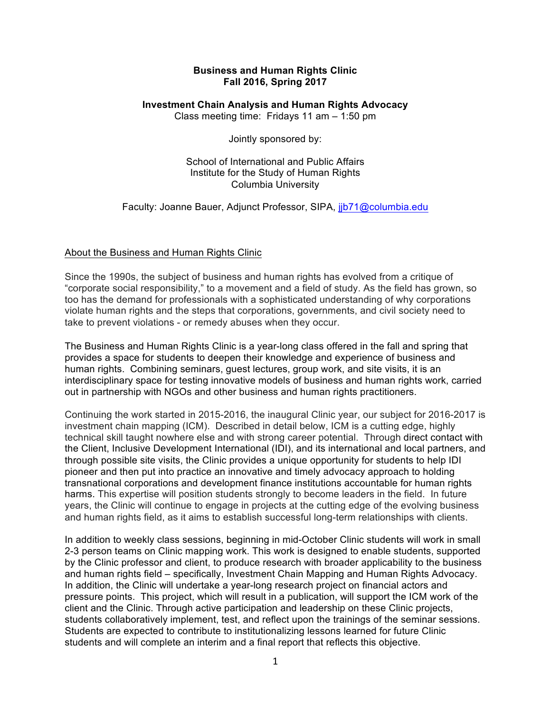### **Business and Human Rights Clinic Fall 2016, Spring 2017**

### **Investment Chain Analysis and Human Rights Advocacy**

Class meeting time: Fridays 11 am – 1:50 pm

Jointly sponsored by:

School of International and Public Affairs Institute for the Study of Human Rights Columbia University

Faculty: Joanne Bauer, Adjunct Professor, SIPA, jjb71@columbia.edu

# About the Business and Human Rights Clinic

Since the 1990s, the subject of business and human rights has evolved from a critique of "corporate social responsibility," to a movement and a field of study. As the field has grown, so too has the demand for professionals with a sophisticated understanding of why corporations violate human rights and the steps that corporations, governments, and civil society need to take to prevent violations - or remedy abuses when they occur.

The Business and Human Rights Clinic is a year-long class offered in the fall and spring that provides a space for students to deepen their knowledge and experience of business and human rights. Combining seminars, guest lectures, group work, and site visits, it is an interdisciplinary space for testing innovative models of business and human rights work, carried out in partnership with NGOs and other business and human rights practitioners.

Continuing the work started in 2015-2016, the inaugural Clinic year, our subject for 2016-2017 is investment chain mapping (ICM). Described in detail below, ICM is a cutting edge, highly technical skill taught nowhere else and with strong career potential. Through direct contact with the Client, Inclusive Development International (IDI), and its international and local partners, and through possible site visits, the Clinic provides a unique opportunity for students to help IDI pioneer and then put into practice an innovative and timely advocacy approach to holding transnational corporations and development finance institutions accountable for human rights harms. This expertise will position students strongly to become leaders in the field. In future years, the Clinic will continue to engage in projects at the cutting edge of the evolving business and human rights field, as it aims to establish successful long-term relationships with clients.

In addition to weekly class sessions, beginning in mid-October Clinic students will work in small 2-3 person teams on Clinic mapping work. This work is designed to enable students, supported by the Clinic professor and client, to produce research with broader applicability to the business and human rights field – specifically, Investment Chain Mapping and Human Rights Advocacy. In addition, the Clinic will undertake a year-long research project on financial actors and pressure points. This project, which will result in a publication, will support the ICM work of the client and the Clinic. Through active participation and leadership on these Clinic projects, students collaboratively implement, test, and reflect upon the trainings of the seminar sessions. Students are expected to contribute to institutionalizing lessons learned for future Clinic students and will complete an interim and a final report that reflects this objective.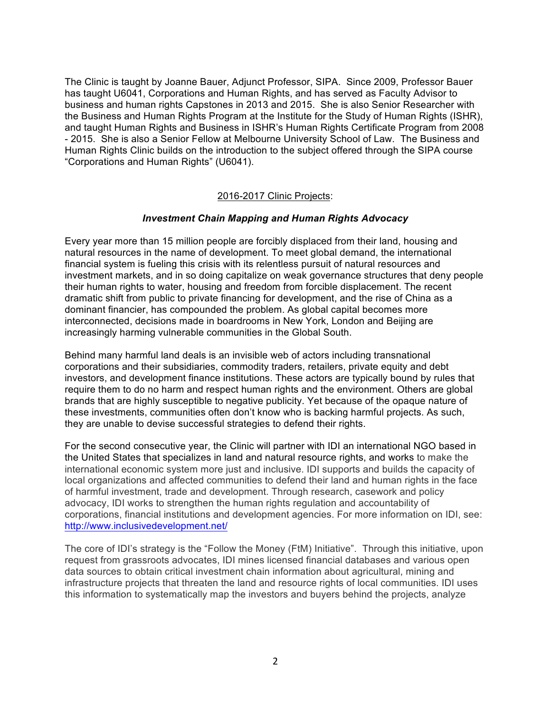The Clinic is taught by Joanne Bauer, Adjunct Professor, SIPA. Since 2009, Professor Bauer has taught U6041, Corporations and Human Rights, and has served as Faculty Advisor to business and human rights Capstones in 2013 and 2015. She is also Senior Researcher with the Business and Human Rights Program at the Institute for the Study of Human Rights (ISHR), and taught Human Rights and Business in ISHR's Human Rights Certificate Program from 2008 - 2015. She is also a Senior Fellow at Melbourne University School of Law. The Business and Human Rights Clinic builds on the introduction to the subject offered through the SIPA course "Corporations and Human Rights" (U6041).

### 2016-2017 Clinic Projects:

### *Investment Chain Mapping and Human Rights Advocacy*

Every year more than 15 million people are forcibly displaced from their land, housing and natural resources in the name of development. To meet global demand, the international financial system is fueling this crisis with its relentless pursuit of natural resources and investment markets, and in so doing capitalize on weak governance structures that deny people their human rights to water, housing and freedom from forcible displacement. The recent dramatic shift from public to private financing for development, and the rise of China as a dominant financier, has compounded the problem. As global capital becomes more interconnected, decisions made in boardrooms in New York, London and Beijing are increasingly harming vulnerable communities in the Global South.

Behind many harmful land deals is an invisible web of actors including transnational corporations and their subsidiaries, commodity traders, retailers, private equity and debt investors, and development finance institutions. These actors are typically bound by rules that require them to do no harm and respect human rights and the environment. Others are global brands that are highly susceptible to negative publicity. Yet because of the opaque nature of these investments, communities often don't know who is backing harmful projects. As such, they are unable to devise successful strategies to defend their rights.

For the second consecutive year, the Clinic will partner with IDI an international NGO based in the United States that specializes in land and natural resource rights, and works to make the international economic system more just and inclusive. IDI supports and builds the capacity of local organizations and affected communities to defend their land and human rights in the face of harmful investment, trade and development. Through research, casework and policy advocacy, IDI works to strengthen the human rights regulation and accountability of corporations, financial institutions and development agencies. For more information on IDI, see: http://www.inclusivedevelopment.net/

The core of IDI's strategy is the "Follow the Money (FtM) Initiative". Through this initiative, upon request from grassroots advocates, IDI mines licensed financial databases and various open data sources to obtain critical investment chain information about agricultural, mining and infrastructure projects that threaten the land and resource rights of local communities. IDI uses this information to systematically map the investors and buyers behind the projects, analyze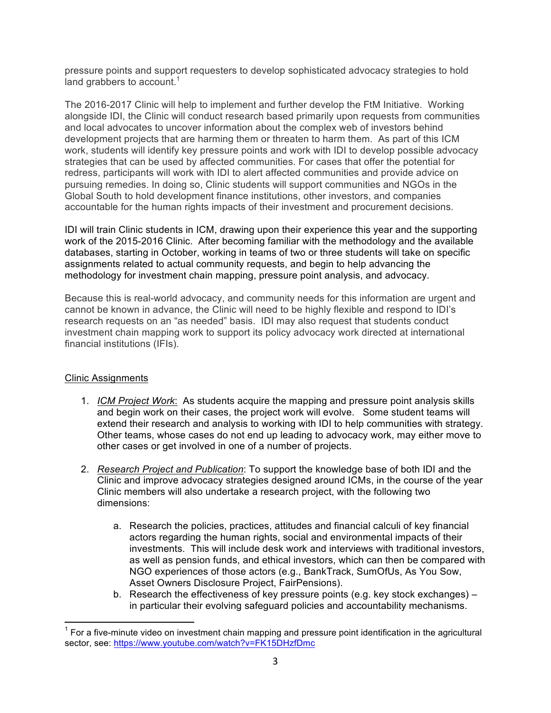pressure points and support requesters to develop sophisticated advocacy strategies to hold land grabbers to account.<sup>1</sup>

The 2016-2017 Clinic will help to implement and further develop the FtM Initiative. Working alongside IDI, the Clinic will conduct research based primarily upon requests from communities and local advocates to uncover information about the complex web of investors behind development projects that are harming them or threaten to harm them. As part of this ICM work, students will identify key pressure points and work with IDI to develop possible advocacy strategies that can be used by affected communities. For cases that offer the potential for redress, participants will work with IDI to alert affected communities and provide advice on pursuing remedies. In doing so, Clinic students will support communities and NGOs in the Global South to hold development finance institutions, other investors, and companies accountable for the human rights impacts of their investment and procurement decisions.

IDI will train Clinic students in ICM, drawing upon their experience this year and the supporting work of the 2015-2016 Clinic. After becoming familiar with the methodology and the available databases, starting in October, working in teams of two or three students will take on specific assignments related to actual community requests, and begin to help advancing the methodology for investment chain mapping, pressure point analysis, and advocacy.

Because this is real-world advocacy, and community needs for this information are urgent and cannot be known in advance, the Clinic will need to be highly flexible and respond to IDI's research requests on an "as needed" basis. IDI may also request that students conduct investment chain mapping work to support its policy advocacy work directed at international financial institutions (IFIs).

# Clinic Assignments

- 1. *ICM Project Work*: As students acquire the mapping and pressure point analysis skills and begin work on their cases, the project work will evolve. Some student teams will extend their research and analysis to working with IDI to help communities with strategy. Other teams, whose cases do not end up leading to advocacy work, may either move to other cases or get involved in one of a number of projects.
- 2. *Research Project and Publication*: To support the knowledge base of both IDI and the Clinic and improve advocacy strategies designed around ICMs, in the course of the year Clinic members will also undertake a research project, with the following two dimensions:
	- a. Research the policies, practices, attitudes and financial calculi of key financial actors regarding the human rights, social and environmental impacts of their investments. This will include desk work and interviews with traditional investors, as well as pension funds, and ethical investors, which can then be compared with NGO experiences of those actors (e.g., BankTrack, SumOfUs, As You Sow, Asset Owners Disclosure Project, FairPensions).
	- b. Research the effectiveness of key pressure points (e.g. key stock exchanges) in particular their evolving safeguard policies and accountability mechanisms.

 $<sup>1</sup>$  For a five-minute video on investment chain mapping and pressure point identification in the agricultural</sup> sector, see: https://www.youtube.com/watch?v=FK15DHzfDmc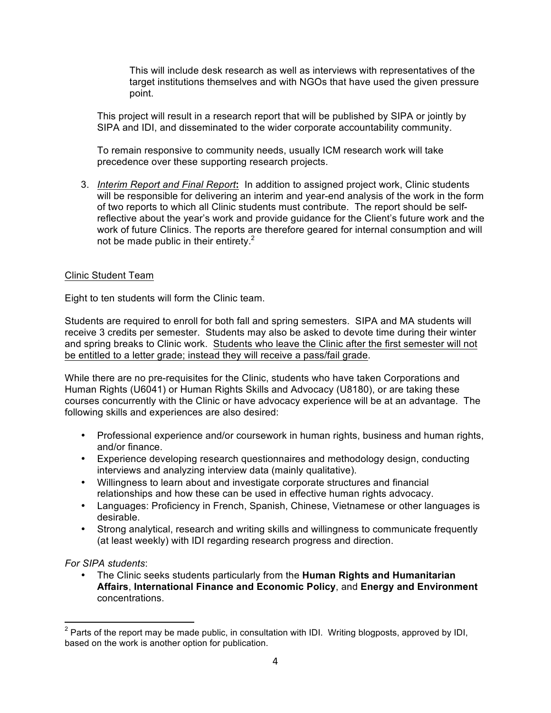This will include desk research as well as interviews with representatives of the target institutions themselves and with NGOs that have used the given pressure point.

This project will result in a research report that will be published by SIPA or jointly by SIPA and IDI, and disseminated to the wider corporate accountability community.

To remain responsive to community needs, usually ICM research work will take precedence over these supporting research projects.

3. *Interim Report and Final Report***:** In addition to assigned project work, Clinic students will be responsible for delivering an interim and year-end analysis of the work in the form of two reports to which all Clinic students must contribute. The report should be selfreflective about the year's work and provide guidance for the Client's future work and the work of future Clinics. The reports are therefore geared for internal consumption and will not be made public in their entirety. $<sup>2</sup>$ </sup>

### Clinic Student Team

Eight to ten students will form the Clinic team.

Students are required to enroll for both fall and spring semesters. SIPA and MA students will receive 3 credits per semester. Students may also be asked to devote time during their winter and spring breaks to Clinic work. Students who leave the Clinic after the first semester will not be entitled to a letter grade; instead they will receive a pass/fail grade.

While there are no pre-requisites for the Clinic, students who have taken Corporations and Human Rights (U6041) or Human Rights Skills and Advocacy (U8180), or are taking these courses concurrently with the Clinic or have advocacy experience will be at an advantage. The following skills and experiences are also desired:

- Professional experience and/or coursework in human rights, business and human rights, and/or finance.
- Experience developing research questionnaires and methodology design, conducting interviews and analyzing interview data (mainly qualitative).
- Willingness to learn about and investigate corporate structures and financial relationships and how these can be used in effective human rights advocacy.
- Languages: Proficiency in French, Spanish, Chinese, Vietnamese or other languages is desirable.
- Strong analytical, research and writing skills and willingness to communicate frequently (at least weekly) with IDI regarding research progress and direction.

*For SIPA students*:

• The Clinic seeks students particularly from the **Human Rights and Humanitarian Affairs**, **International Finance and Economic Policy**, and **Energy and Environment** concentrations.

 $2$  Parts of the report may be made public, in consultation with IDI. Writing blogposts, approved by IDI, based on the work is another option for publication.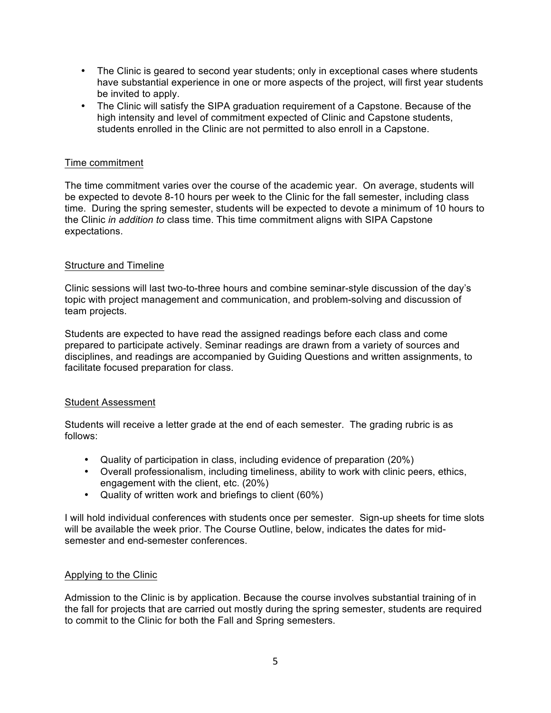- The Clinic is geared to second year students; only in exceptional cases where students have substantial experience in one or more aspects of the project, will first year students be invited to apply.
- The Clinic will satisfy the SIPA graduation requirement of a Capstone. Because of the high intensity and level of commitment expected of Clinic and Capstone students, students enrolled in the Clinic are not permitted to also enroll in a Capstone.

### Time commitment

The time commitment varies over the course of the academic year. On average, students will be expected to devote 8-10 hours per week to the Clinic for the fall semester, including class time. During the spring semester, students will be expected to devote a minimum of 10 hours to the Clinic *in addition to* class time. This time commitment aligns with SIPA Capstone expectations.

### Structure and Timeline

Clinic sessions will last two-to-three hours and combine seminar-style discussion of the day's topic with project management and communication, and problem-solving and discussion of team projects.

Students are expected to have read the assigned readings before each class and come prepared to participate actively. Seminar readings are drawn from a variety of sources and disciplines, and readings are accompanied by Guiding Questions and written assignments, to facilitate focused preparation for class.

### Student Assessment

Students will receive a letter grade at the end of each semester. The grading rubric is as follows:

- Quality of participation in class, including evidence of preparation (20%)
- Overall professionalism, including timeliness, ability to work with clinic peers, ethics, engagement with the client, etc. (20%)
- Quality of written work and briefings to client (60%)

I will hold individual conferences with students once per semester. Sign-up sheets for time slots will be available the week prior. The Course Outline, below, indicates the dates for midsemester and end-semester conferences.

### Applying to the Clinic

Admission to the Clinic is by application. Because the course involves substantial training of in the fall for projects that are carried out mostly during the spring semester, students are required to commit to the Clinic for both the Fall and Spring semesters.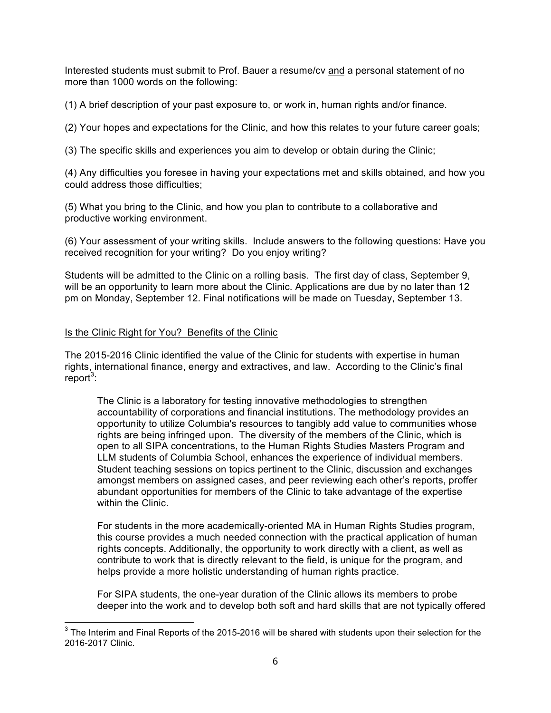Interested students must submit to Prof. Bauer a resume/cv and a personal statement of no more than 1000 words on the following:

(1) A brief description of your past exposure to, or work in, human rights and/or finance.

(2) Your hopes and expectations for the Clinic, and how this relates to your future career goals;

(3) The specific skills and experiences you aim to develop or obtain during the Clinic;

(4) Any difficulties you foresee in having your expectations met and skills obtained, and how you could address those difficulties;

(5) What you bring to the Clinic, and how you plan to contribute to a collaborative and productive working environment.

(6) Your assessment of your writing skills. Include answers to the following questions: Have you received recognition for your writing? Do you enjoy writing?

Students will be admitted to the Clinic on a rolling basis. The first day of class, September 9, will be an opportunity to learn more about the Clinic. Applications are due by no later than 12 pm on Monday, September 12. Final notifications will be made on Tuesday, September 13.

### Is the Clinic Right for You? Benefits of the Clinic

The 2015-2016 Clinic identified the value of the Clinic for students with expertise in human rights, international finance, energy and extractives, and law. According to the Clinic's final report<sup>3</sup>:

The Clinic is a laboratory for testing innovative methodologies to strengthen accountability of corporations and financial institutions. The methodology provides an opportunity to utilize Columbia's resources to tangibly add value to communities whose rights are being infringed upon. The diversity of the members of the Clinic, which is open to all SIPA concentrations, to the Human Rights Studies Masters Program and LLM students of Columbia School, enhances the experience of individual members. Student teaching sessions on topics pertinent to the Clinic, discussion and exchanges amongst members on assigned cases, and peer reviewing each other's reports, proffer abundant opportunities for members of the Clinic to take advantage of the expertise within the Clinic.

For students in the more academically-oriented MA in Human Rights Studies program, this course provides a much needed connection with the practical application of human rights concepts. Additionally, the opportunity to work directly with a client, as well as contribute to work that is directly relevant to the field, is unique for the program, and helps provide a more holistic understanding of human rights practice.

For SIPA students, the one-year duration of the Clinic allows its members to probe deeper into the work and to develop both soft and hard skills that are not typically offered

 $3$  The Interim and Final Reports of the 2015-2016 will be shared with students upon their selection for the 2016-2017 Clinic.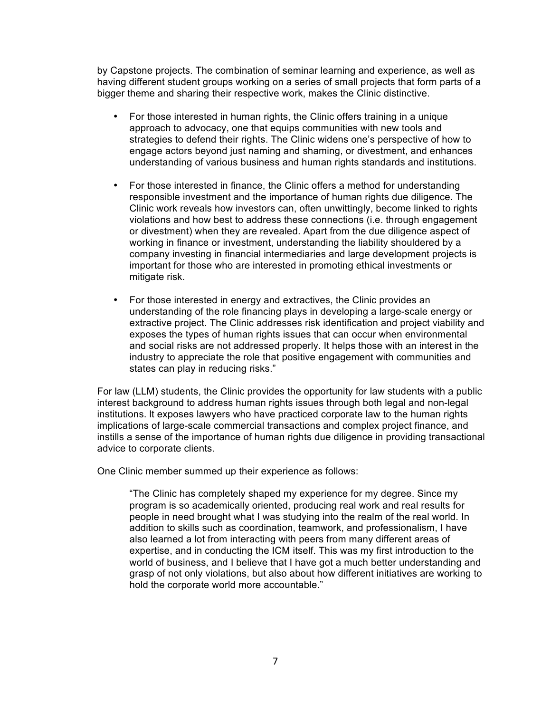by Capstone projects. The combination of seminar learning and experience, as well as having different student groups working on a series of small projects that form parts of a bigger theme and sharing their respective work, makes the Clinic distinctive.

- For those interested in human rights, the Clinic offers training in a unique approach to advocacy, one that equips communities with new tools and strategies to defend their rights. The Clinic widens one's perspective of how to engage actors beyond just naming and shaming, or divestment, and enhances understanding of various business and human rights standards and institutions.
- For those interested in finance, the Clinic offers a method for understanding responsible investment and the importance of human rights due diligence. The Clinic work reveals how investors can, often unwittingly, become linked to rights violations and how best to address these connections (i.e. through engagement or divestment) when they are revealed. Apart from the due diligence aspect of working in finance or investment, understanding the liability shouldered by a company investing in financial intermediaries and large development projects is important for those who are interested in promoting ethical investments or mitigate risk.
- For those interested in energy and extractives, the Clinic provides an understanding of the role financing plays in developing a large-scale energy or extractive project. The Clinic addresses risk identification and project viability and exposes the types of human rights issues that can occur when environmental and social risks are not addressed properly. It helps those with an interest in the industry to appreciate the role that positive engagement with communities and states can play in reducing risks."

For law (LLM) students, the Clinic provides the opportunity for law students with a public interest background to address human rights issues through both legal and non-legal institutions. lt exposes lawyers who have practiced corporate law to the human rights implications of large-scale commercial transactions and complex project finance, and instills a sense of the importance of human rights due diligence in providing transactional advice to corporate clients.

One Clinic member summed up their experience as follows:

"The Clinic has completely shaped my experience for my degree. Since my program is so academically oriented, producing real work and real results for people in need brought what I was studying into the realm of the real world. In addition to skills such as coordination, teamwork, and professionalism, I have also learned a lot from interacting with peers from many different areas of expertise, and in conducting the ICM itself. This was my first introduction to the world of business, and I believe that I have got a much better understanding and grasp of not only violations, but also about how different initiatives are working to hold the corporate world more accountable."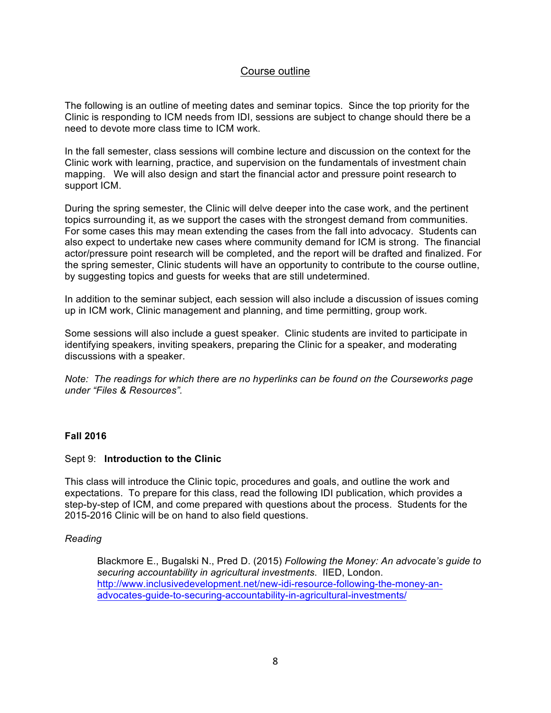# Course outline

The following is an outline of meeting dates and seminar topics. Since the top priority for the Clinic is responding to ICM needs from IDI, sessions are subject to change should there be a need to devote more class time to ICM work.

In the fall semester, class sessions will combine lecture and discussion on the context for the Clinic work with learning, practice, and supervision on the fundamentals of investment chain mapping. We will also design and start the financial actor and pressure point research to support ICM.

During the spring semester, the Clinic will delve deeper into the case work, and the pertinent topics surrounding it, as we support the cases with the strongest demand from communities. For some cases this may mean extending the cases from the fall into advocacy. Students can also expect to undertake new cases where community demand for ICM is strong. The financial actor/pressure point research will be completed, and the report will be drafted and finalized. For the spring semester, Clinic students will have an opportunity to contribute to the course outline, by suggesting topics and guests for weeks that are still undetermined.

In addition to the seminar subject, each session will also include a discussion of issues coming up in ICM work, Clinic management and planning, and time permitting, group work.

Some sessions will also include a guest speaker. Clinic students are invited to participate in identifying speakers, inviting speakers, preparing the Clinic for a speaker, and moderating discussions with a speaker.

*Note: The readings for which there are no hyperlinks can be found on the Courseworks page under "Files & Resources".*

# **Fall 2016**

### Sept 9: **Introduction to the Clinic**

This class will introduce the Clinic topic, procedures and goals, and outline the work and expectations. To prepare for this class, read the following IDI publication, which provides a step-by-step of ICM, and come prepared with questions about the process. Students for the 2015-2016 Clinic will be on hand to also field questions.

### *Reading*

Blackmore E., Bugalski N., Pred D. (2015) *Following the Money: An advocate's guide to securing accountability in agricultural investments*. IIED, London. http://www.inclusivedevelopment.net/new-idi-resource-following-the-money-anadvocates-guide-to-securing-accountability-in-agricultural-investments/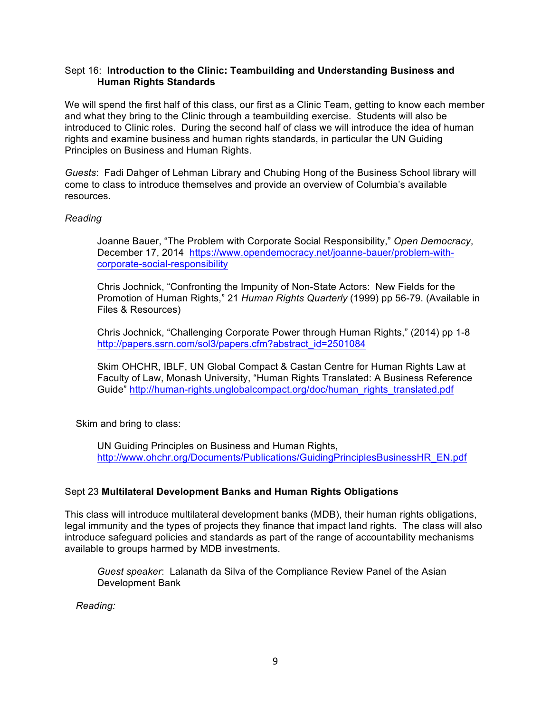### Sept 16: **Introduction to the Clinic: Teambuilding and Understanding Business and Human Rights Standards**

We will spend the first half of this class, our first as a Clinic Team, getting to know each member and what they bring to the Clinic through a teambuilding exercise. Students will also be introduced to Clinic roles. During the second half of class we will introduce the idea of human rights and examine business and human rights standards, in particular the UN Guiding Principles on Business and Human Rights.

*Guests*: Fadi Dahger of Lehman Library and Chubing Hong of the Business School library will come to class to introduce themselves and provide an overview of Columbia's available resources.

# *Reading*

Joanne Bauer, "The Problem with Corporate Social Responsibility," *Open Democracy*, December 17, 2014 https://www.opendemocracy.net/joanne-bauer/problem-withcorporate-social-responsibility

Chris Jochnick, "Confronting the Impunity of Non-State Actors: New Fields for the Promotion of Human Rights," 21 *Human Rights Quarterly* (1999) pp 56-79. (Available in Files & Resources)

Chris Jochnick, "Challenging Corporate Power through Human Rights," (2014) pp 1-8 http://papers.ssrn.com/sol3/papers.cfm?abstract\_id=2501084

Skim OHCHR, IBLF, UN Global Compact & Castan Centre for Human Rights Law at Faculty of Law, Monash University, "Human Rights Translated: A Business Reference Guide" http://human-rights.unglobalcompact.org/doc/human\_rights\_translated.pdf

Skim and bring to class:

UN Guiding Principles on Business and Human Rights, http://www.ohchr.org/Documents/Publications/GuidingPrinciplesBusinessHR\_EN.pdf

# Sept 23 **Multilateral Development Banks and Human Rights Obligations**

This class will introduce multilateral development banks (MDB), their human rights obligations, legal immunity and the types of projects they finance that impact land rights. The class will also introduce safeguard policies and standards as part of the range of accountability mechanisms available to groups harmed by MDB investments.

*Guest speaker*: Lalanath da Silva of the Compliance Review Panel of the Asian Development Bank

 *Reading:*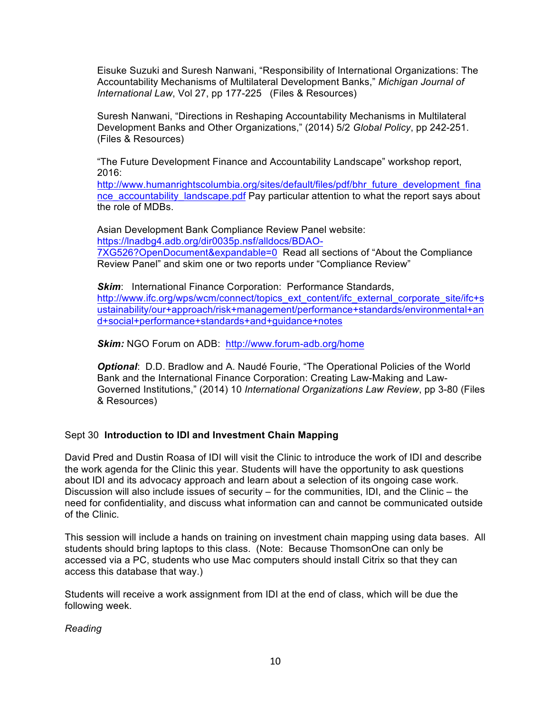Eisuke Suzuki and Suresh Nanwani, "Responsibility of International Organizations: The Accountability Mechanisms of Multilateral Development Banks," *Michigan Journal of International Law*, Vol 27, pp 177-225 (Files & Resources)

Suresh Nanwani, "Directions in Reshaping Accountability Mechanisms in Multilateral Development Banks and Other Organizations," (2014) 5/2 *Global Policy*, pp 242-251. (Files & Resources)

"The Future Development Finance and Accountability Landscape" workshop report, 2016:

http://www.humanrightscolumbia.org/sites/default/files/pdf/bhr\_future\_development\_fina nce\_accountability\_landscape.pdf Pay particular attention to what the report says about the role of MDBs.

Asian Development Bank Compliance Review Panel website: https://lnadbg4.adb.org/dir0035p.nsf/alldocs/BDAO-7XG526?OpenDocument&expandable=0 Read all sections of "About the Compliance Review Panel" and skim one or two reports under "Compliance Review"

**Skim:** International Finance Corporation: Performance Standards, http://www.ifc.org/wps/wcm/connect/topics\_ext\_content/ifc\_external\_corporate\_site/ifc+s ustainability/our+approach/risk+management/performance+standards/environmental+an d+social+performance+standards+and+guidance+notes

*Skim:* NGO Forum on ADB: http://www.forum-adb.org/home

*Optional*: D.D. Bradlow and A. Naudé Fourie, "The Operational Policies of the World Bank and the International Finance Corporation: Creating Law-Making and Law-Governed Institutions," (2014) 10 *International Organizations Law Review*, pp 3-80 (Files & Resources)

# Sept 30 **Introduction to IDI and Investment Chain Mapping**

David Pred and Dustin Roasa of IDI will visit the Clinic to introduce the work of IDI and describe the work agenda for the Clinic this year. Students will have the opportunity to ask questions about IDI and its advocacy approach and learn about a selection of its ongoing case work. Discussion will also include issues of security – for the communities, IDI, and the Clinic – the need for confidentiality, and discuss what information can and cannot be communicated outside of the Clinic.

This session will include a hands on training on investment chain mapping using data bases. All students should bring laptops to this class. (Note: Because ThomsonOne can only be accessed via a PC, students who use Mac computers should install Citrix so that they can access this database that way.)

Students will receive a work assignment from IDI at the end of class, which will be due the following week.

### *Reading*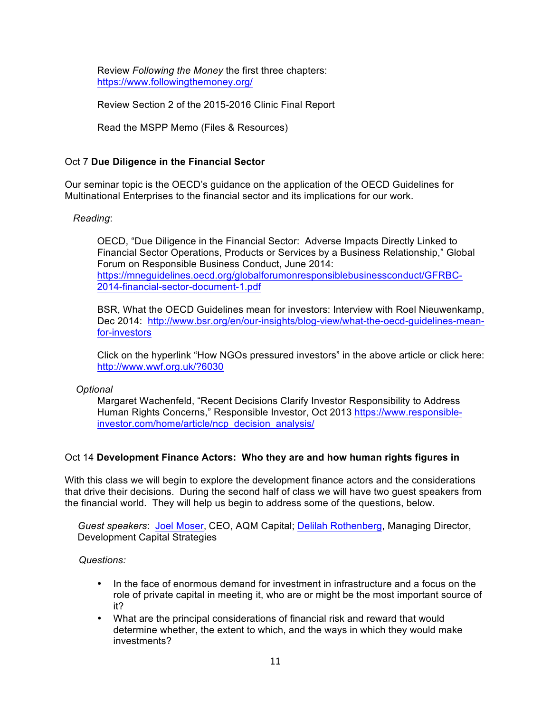Review *Following the Money* the first three chapters: https://www.followingthemoney.org/

Review Section 2 of the 2015-2016 Clinic Final Report

Read the MSPP Memo (Files & Resources)

# Oct 7 **Due Diligence in the Financial Sector**

Our seminar topic is the OECD's guidance on the application of the OECD Guidelines for Multinational Enterprises to the financial sector and its implications for our work.

# *Reading*:

OECD, "Due Diligence in the Financial Sector: Adverse Impacts Directly Linked to Financial Sector Operations, Products or Services by a Business Relationship," Global Forum on Responsible Business Conduct, June 2014: https://mneguidelines.oecd.org/globalforumonresponsiblebusinessconduct/GFRBC-2014-financial-sector-document-1.pdf

BSR, What the OECD Guidelines mean for investors: Interview with Roel Nieuwenkamp, Dec 2014: http://www.bsr.org/en/our-insights/blog-view/what-the-oecd-guidelines-meanfor-investors

Click on the hyperlink "How NGOs pressured investors" in the above article or click here: http://www.wwf.org.uk/?6030

 *Optional*

Margaret Wachenfeld, "Recent Decisions Clarify Investor Responsibility to Address Human Rights Concerns," Responsible Investor, Oct 2013 https://www.responsibleinvestor.com/home/article/ncp\_decision\_analysis/

# Oct 14 **Development Finance Actors: Who they are and how human rights figures in**

With this class we will begin to explore the development finance actors and the considerations that drive their decisions. During the second half of class we will have two guest speakers from the financial world. They will help us begin to address some of the questions, below.

*Guest speakers*: Joel Moser, CEO, AQM Capital; Delilah Rothenberg, Managing Director, Development Capital Strategies

 *Questions:*

- In the face of enormous demand for investment in infrastructure and a focus on the role of private capital in meeting it, who are or might be the most important source of it?
- What are the principal considerations of financial risk and reward that would determine whether, the extent to which, and the ways in which they would make investments?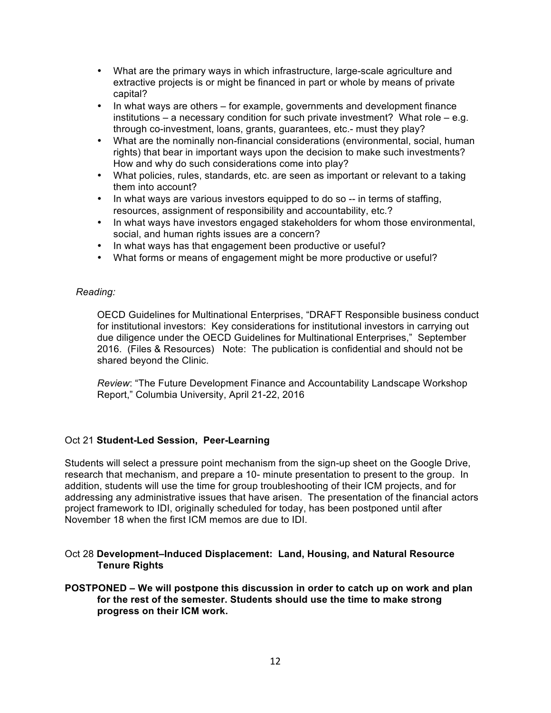- What are the primary ways in which infrastructure, large-scale agriculture and extractive projects is or might be financed in part or whole by means of private capital?
- In what ways are others for example, governments and development finance institutions – a necessary condition for such private investment? What role – e.g. through co-investment, loans, grants, guarantees, etc.- must they play?
- What are the nominally non-financial considerations (environmental, social, human rights) that bear in important ways upon the decision to make such investments? How and why do such considerations come into play?
- What policies, rules, standards, etc. are seen as important or relevant to a taking them into account?
- In what ways are various investors equipped to do so -- in terms of staffing. resources, assignment of responsibility and accountability, etc.?
- In what ways have investors engaged stakeholders for whom those environmental, social, and human rights issues are a concern?
- In what ways has that engagement been productive or useful?
- What forms or means of engagement might be more productive or useful?

### *Reading:*

OECD Guidelines for Multinational Enterprises, "DRAFT Responsible business conduct for institutional investors: Key considerations for institutional investors in carrying out due diligence under the OECD Guidelines for Multinational Enterprises," September 2016. (Files & Resources) Note: The publication is confidential and should not be shared beyond the Clinic.

*Review*: "The Future Development Finance and Accountability Landscape Workshop Report," Columbia University, April 21-22, 2016

### Oct 21 **Student-Led Session, Peer-Learning**

Students will select a pressure point mechanism from the sign-up sheet on the Google Drive, research that mechanism, and prepare a 10- minute presentation to present to the group. In addition, students will use the time for group troubleshooting of their ICM projects, and for addressing any administrative issues that have arisen. The presentation of the financial actors project framework to IDI, originally scheduled for today, has been postponed until after November 18 when the first ICM memos are due to IDI.

### Oct 28 **Development–Induced Displacement: Land, Housing, and Natural Resource Tenure Rights**

### **POSTPONED – We will postpone this discussion in order to catch up on work and plan for the rest of the semester. Students should use the time to make strong progress on their ICM work.**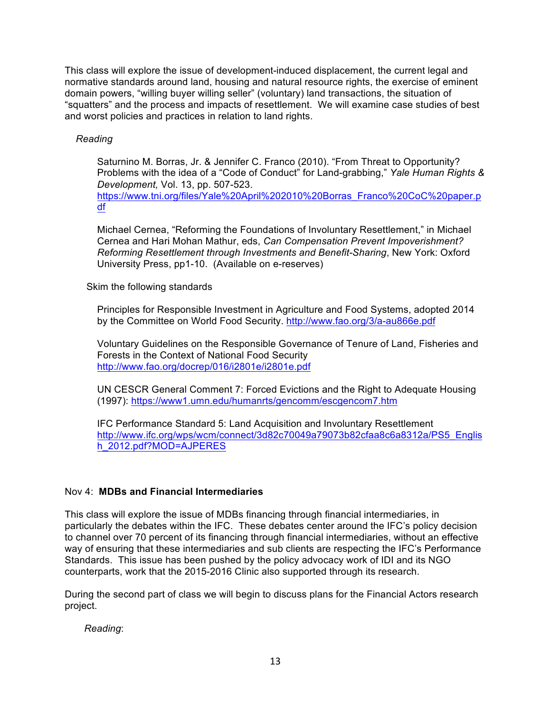This class will explore the issue of development-induced displacement, the current legal and normative standards around land, housing and natural resource rights, the exercise of eminent domain powers, "willing buyer willing seller" (voluntary) land transactions, the situation of "squatters" and the process and impacts of resettlement. We will examine case studies of best and worst policies and practices in relation to land rights.

# *Reading*

Saturnino M. Borras, Jr. & Jennifer C. Franco (2010). "From Threat to Opportunity? Problems with the idea of a "Code of Conduct" for Land-grabbing," *Yale Human Rights & Development,* Vol. 13, pp. 507-523.

https://www.tni.org/files/Yale%20April%202010%20Borras\_Franco%20CoC%20paper.p df

Michael Cernea, "Reforming the Foundations of Involuntary Resettlement," in Michael Cernea and Hari Mohan Mathur, eds, *Can Compensation Prevent Impoverishment? Reforming Resettlement through Investments and Benefit-Sharing*, New York: Oxford University Press, pp1-10. (Available on e-reserves)

# Skim the following standards

Principles for Responsible Investment in Agriculture and Food Systems, adopted 2014 by the Committee on World Food Security. http://www.fao.org/3/a-au866e.pdf

Voluntary Guidelines on the Responsible Governance of Tenure of Land, Fisheries and Forests in the Context of National Food Security http://www.fao.org/docrep/016/i2801e/i2801e.pdf

UN CESCR General Comment 7: Forced Evictions and the Right to Adequate Housing (1997): https://www1.umn.edu/humanrts/gencomm/escgencom7.htm

IFC Performance Standard 5: Land Acquisition and Involuntary Resettlement http://www.ifc.org/wps/wcm/connect/3d82c70049a79073b82cfaa8c6a8312a/PS5\_Englis h\_2012.pdf?MOD=AJPERES

# Nov 4: **MDBs and Financial Intermediaries**

This class will explore the issue of MDBs financing through financial intermediaries, in particularly the debates within the IFC. These debates center around the IFC's policy decision to channel over 70 percent of its financing through financial intermediaries, without an effective way of ensuring that these intermediaries and sub clients are respecting the IFC's Performance Standards. This issue has been pushed by the policy advocacy work of IDI and its NGO counterparts, work that the 2015-2016 Clinic also supported through its research.

During the second part of class we will begin to discuss plans for the Financial Actors research project.

*Reading*: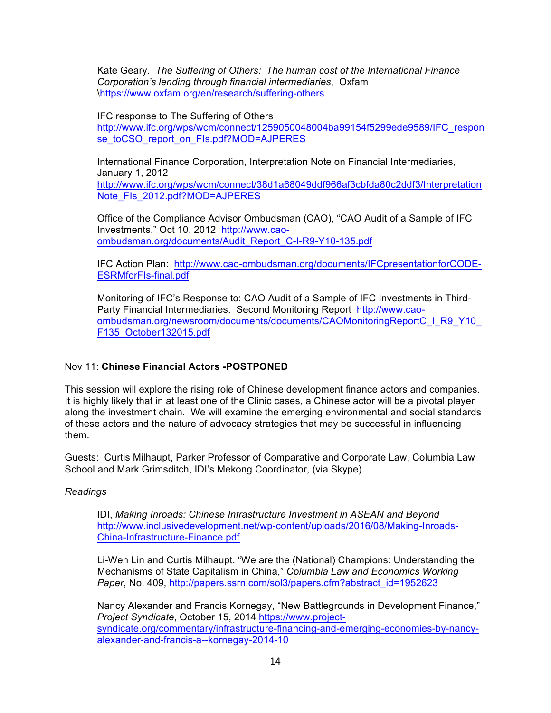Kate Geary. *The Suffering of Others: The human cost of the International Finance Corporation's lending through financial intermediaries*, Oxfam \https://www.oxfam.org/en/research/suffering-others

### IFC response to The Suffering of Others

http://www.ifc.org/wps/wcm/connect/1259050048004ba99154f5299ede9589/IFC\_respon se\_toCSO\_report\_on\_FIs.pdf?MOD=AJPERES

International Finance Corporation, Interpretation Note on Financial Intermediaries, January 1, 2012 http://www.ifc.org/wps/wcm/connect/38d1a68049ddf966af3cbfda80c2ddf3/Interpretation Note\_FIs\_2012.pdf?MOD=AJPERES

Office of the Compliance Advisor Ombudsman (CAO), "CAO Audit of a Sample of IFC Investments," Oct 10, 2012 http://www.caoombudsman.org/documents/Audit\_Report\_C-I-R9-Y10-135.pdf

IFC Action Plan: http://www.cao-ombudsman.org/documents/IFCpresentationforCODE-ESRMforFIs-final.pdf

Monitoring of IFC's Response to: CAO Audit of a Sample of IFC Investments in Third-Party Financial Intermediaries. Second Monitoring Report http://www.caoombudsman.org/newsroom/documents/documents/CAOMonitoringReportC\_I\_R9\_Y10\_ F135\_October132015.pdf

# Nov 11: **Chinese Financial Actors -POSTPONED**

This session will explore the rising role of Chinese development finance actors and companies. It is highly likely that in at least one of the Clinic cases, a Chinese actor will be a pivotal player along the investment chain. We will examine the emerging environmental and social standards of these actors and the nature of advocacy strategies that may be successful in influencing them.

Guests: Curtis Milhaupt, Parker Professor of Comparative and Corporate Law, Columbia Law School and Mark Grimsditch, IDI's Mekong Coordinator, (via Skype).

# *Readings*

IDI, *Making Inroads: Chinese Infrastructure Investment in ASEAN and Beyond* http://www.inclusivedevelopment.net/wp-content/uploads/2016/08/Making-Inroads-China-Infrastructure-Finance.pdf

Li-Wen Lin and Curtis Milhaupt. "We are the (National) Champions: Understanding the Mechanisms of State Capitalism in China," *Columbia Law and Economics Working Paper*, No. 409, http://papers.ssrn.com/sol3/papers.cfm?abstract\_id=1952623

Nancy Alexander and Francis Kornegay, "New Battlegrounds in Development Finance," *Project Syndicate*, October 15, 2014 https://www.projectsyndicate.org/commentary/infrastructure-financing-and-emerging-economies-by-nancyalexander-and-francis-a--kornegay-2014-10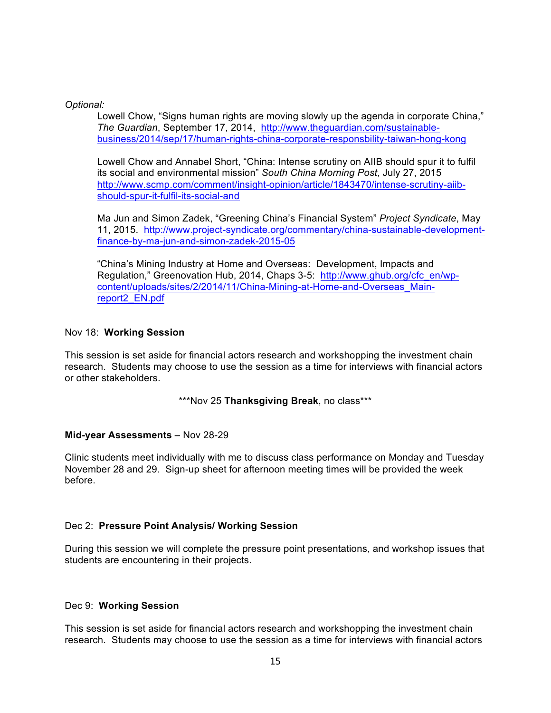### *Optional:*

Lowell Chow, "Signs human rights are moving slowly up the agenda in corporate China," *The Guardian*, September 17, 2014, http://www.theguardian.com/sustainablebusiness/2014/sep/17/human-rights-china-corporate-responsbility-taiwan-hong-kong

Lowell Chow and Annabel Short, "China: Intense scrutiny on AIIB should spur it to fulfil its social and environmental mission" *South China Morning Post*, July 27, 2015 http://www.scmp.com/comment/insight-opinion/article/1843470/intense-scrutiny-aiibshould-spur-it-fulfil-its-social-and

Ma Jun and Simon Zadek, "Greening China's Financial System" *Project Syndicate*, May 11, 2015. http://www.project-syndicate.org/commentary/china-sustainable-developmentfinance-by-ma-jun-and-simon-zadek-2015-05

"China's Mining Industry at Home and Overseas: Development, Impacts and Regulation," Greenovation Hub, 2014, Chaps 3-5: http://www.ghub.org/cfc\_en/wpcontent/uploads/sites/2/2014/11/China-Mining-at-Home-and-Overseas\_Mainreport2\_EN.pdf

### Nov 18: **Working Session**

This session is set aside for financial actors research and workshopping the investment chain research. Students may choose to use the session as a time for interviews with financial actors or other stakeholders.

### \*\*\*Nov 25 **Thanksgiving Break**, no class\*\*\*

### **Mid-year Assessments** – Nov 28-29

Clinic students meet individually with me to discuss class performance on Monday and Tuesday November 28 and 29. Sign-up sheet for afternoon meeting times will be provided the week before.

# Dec 2: **Pressure Point Analysis/ Working Session**

During this session we will complete the pressure point presentations, and workshop issues that students are encountering in their projects.

### Dec 9: **Working Session**

This session is set aside for financial actors research and workshopping the investment chain research. Students may choose to use the session as a time for interviews with financial actors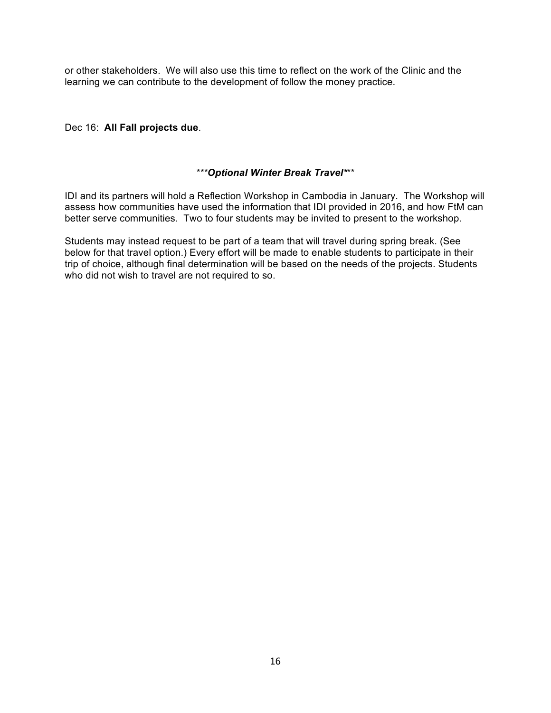or other stakeholders. We will also use this time to reflect on the work of the Clinic and the learning we can contribute to the development of follow the money practice.

# Dec 16: **All Fall projects due**.

# *\*\*\*Optional Winter Break Travel\**\*\*

IDI and its partners will hold a Reflection Workshop in Cambodia in January. The Workshop will assess how communities have used the information that IDI provided in 2016, and how FtM can better serve communities. Two to four students may be invited to present to the workshop.

Students may instead request to be part of a team that will travel during spring break. (See below for that travel option.) Every effort will be made to enable students to participate in their trip of choice, although final determination will be based on the needs of the projects. Students who did not wish to travel are not required to so.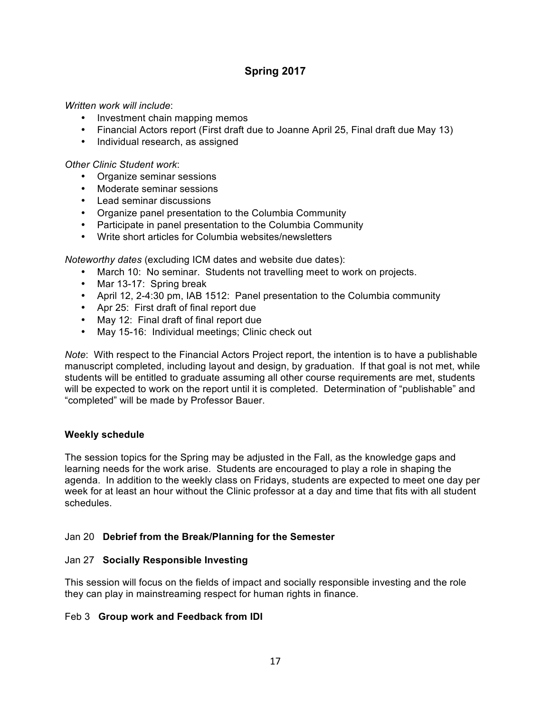# **Spring 2017**

*Written work will include*:

- Investment chain mapping memos
- Financial Actors report (First draft due to Joanne April 25, Final draft due May 13)
- Individual research, as assigned

*Other Clinic Student work*:

- Organize seminar sessions
- Moderate seminar sessions
- Lead seminar discussions
- Organize panel presentation to the Columbia Community
- Participate in panel presentation to the Columbia Community
- Write short articles for Columbia websites/newsletters

*Noteworthy dates* (excluding ICM dates and website due dates):

- March 10: No seminar. Students not travelling meet to work on projects.
- Mar 13-17: Spring break
- April 12, 2-4:30 pm, IAB 1512: Panel presentation to the Columbia community
- Apr 25: First draft of final report due
- May 12: Final draft of final report due
- May 15-16: Individual meetings; Clinic check out

*Note*: With respect to the Financial Actors Project report, the intention is to have a publishable manuscript completed, including layout and design, by graduation. If that goal is not met, while students will be entitled to graduate assuming all other course requirements are met, students will be expected to work on the report until it is completed. Determination of "publishable" and "completed" will be made by Professor Bauer.

# **Weekly schedule**

The session topics for the Spring may be adjusted in the Fall, as the knowledge gaps and learning needs for the work arise. Students are encouraged to play a role in shaping the agenda. In addition to the weekly class on Fridays, students are expected to meet one day per week for at least an hour without the Clinic professor at a day and time that fits with all student schedules.

# Jan 20 **Debrief from the Break/Planning for the Semester**

# Jan 27 **Socially Responsible Investing**

This session will focus on the fields of impact and socially responsible investing and the role they can play in mainstreaming respect for human rights in finance.

# Feb 3 **Group work and Feedback from IDI**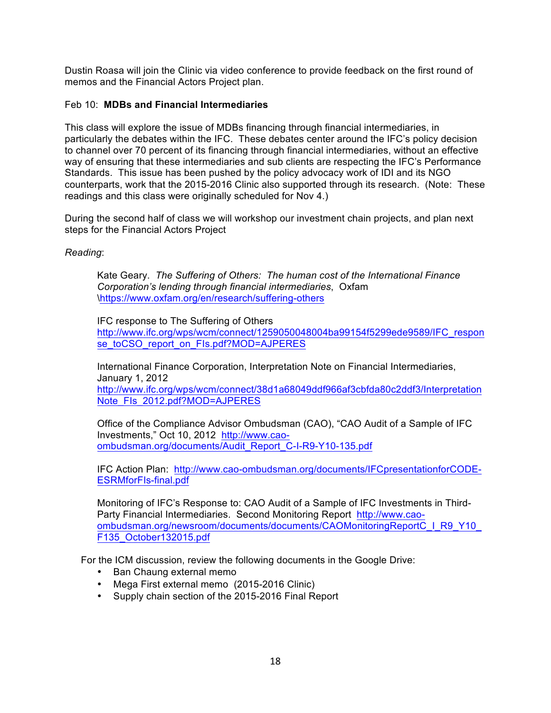Dustin Roasa will join the Clinic via video conference to provide feedback on the first round of memos and the Financial Actors Project plan.

# Feb 10: **MDBs and Financial Intermediaries**

This class will explore the issue of MDBs financing through financial intermediaries, in particularly the debates within the IFC. These debates center around the IFC's policy decision to channel over 70 percent of its financing through financial intermediaries, without an effective way of ensuring that these intermediaries and sub clients are respecting the IFC's Performance Standards. This issue has been pushed by the policy advocacy work of IDI and its NGO counterparts, work that the 2015-2016 Clinic also supported through its research. (Note: These readings and this class were originally scheduled for Nov 4.)

During the second half of class we will workshop our investment chain projects, and plan next steps for the Financial Actors Project

# *Reading*:

Kate Geary. *The Suffering of Others: The human cost of the International Finance Corporation's lending through financial intermediaries*, Oxfam \https://www.oxfam.org/en/research/suffering-others

IFC response to The Suffering of Others

http://www.ifc.org/wps/wcm/connect/1259050048004ba99154f5299ede9589/IFC\_respon se\_toCSO\_report\_on\_FIs.pdf?MOD=AJPERES

International Finance Corporation, Interpretation Note on Financial Intermediaries, January 1, 2012

http://www.ifc.org/wps/wcm/connect/38d1a68049ddf966af3cbfda80c2ddf3/Interpretation Note\_FIs\_2012.pdf?MOD=AJPERES

Office of the Compliance Advisor Ombudsman (CAO), "CAO Audit of a Sample of IFC Investments," Oct 10, 2012 http://www.caoombudsman.org/documents/Audit\_Report\_C-I-R9-Y10-135.pdf

IFC Action Plan: http://www.cao-ombudsman.org/documents/IFCpresentationforCODE-ESRMforFIs-final.pdf

Monitoring of IFC's Response to: CAO Audit of a Sample of IFC Investments in Third-Party Financial Intermediaries. Second Monitoring Report http://www.caoombudsman.org/newsroom/documents/documents/CAOMonitoringReportC\_I\_R9\_Y10\_ F135\_October132015.pdf

For the ICM discussion, review the following documents in the Google Drive:

- Ban Chaung external memo
- Mega First external memo (2015-2016 Clinic)
- Supply chain section of the 2015-2016 Final Report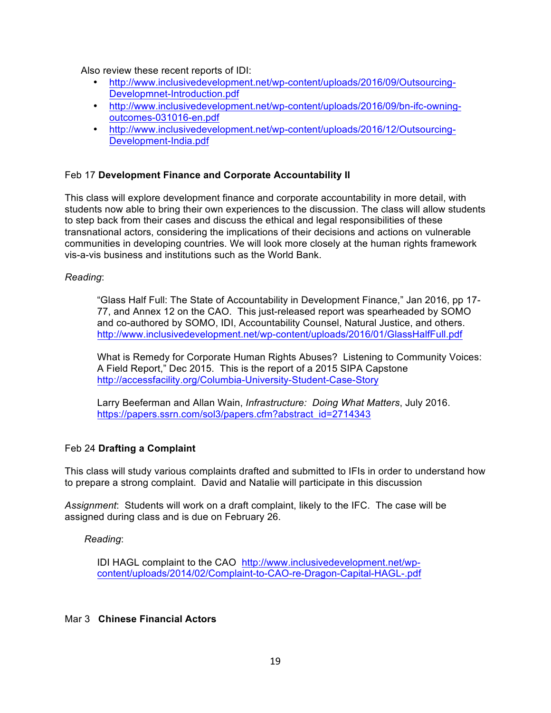Also review these recent reports of IDI:

- http://www.inclusivedevelopment.net/wp-content/uploads/2016/09/Outsourcing-Developmnet-Introduction.pdf
- http://www.inclusivedevelopment.net/wp-content/uploads/2016/09/bn-ifc-owningoutcomes-031016-en.pdf
- http://www.inclusivedevelopment.net/wp-content/uploads/2016/12/Outsourcing-Development-India.pdf

# Feb 17 **Development Finance and Corporate Accountability II**

This class will explore development finance and corporate accountability in more detail, with students now able to bring their own experiences to the discussion. The class will allow students to step back from their cases and discuss the ethical and legal responsibilities of these transnational actors, considering the implications of their decisions and actions on vulnerable communities in developing countries. We will look more closely at the human rights framework vis-a-vis business and institutions such as the World Bank.

### *Reading*:

"Glass Half Full: The State of Accountability in Development Finance," Jan 2016, pp 17- 77, and Annex 12 on the CAO. This just-released report was spearheaded by SOMO and co-authored by SOMO, IDI, Accountability Counsel, Natural Justice, and others. http://www.inclusivedevelopment.net/wp-content/uploads/2016/01/GlassHalfFull.pdf

What is Remedy for Corporate Human Rights Abuses? Listening to Community Voices: A Field Report," Dec 2015. This is the report of a 2015 SIPA Capstone http://accessfacility.org/Columbia-University-Student-Case-Story

Larry Beeferman and Allan Wain, *Infrastructure: Doing What Matters*, July 2016. https://papers.ssrn.com/sol3/papers.cfm?abstract\_id=2714343

# Feb 24 **Drafting a Complaint**

This class will study various complaints drafted and submitted to IFIs in order to understand how to prepare a strong complaint. David and Natalie will participate in this discussion

*Assignment*: Students will work on a draft complaint, likely to the IFC. The case will be assigned during class and is due on February 26.

*Reading*:

IDI HAGL complaint to the CAO http://www.inclusivedevelopment.net/wpcontent/uploads/2014/02/Complaint-to-CAO-re-Dragon-Capital-HAGL-.pdf

# Mar 3 **Chinese Financial Actors**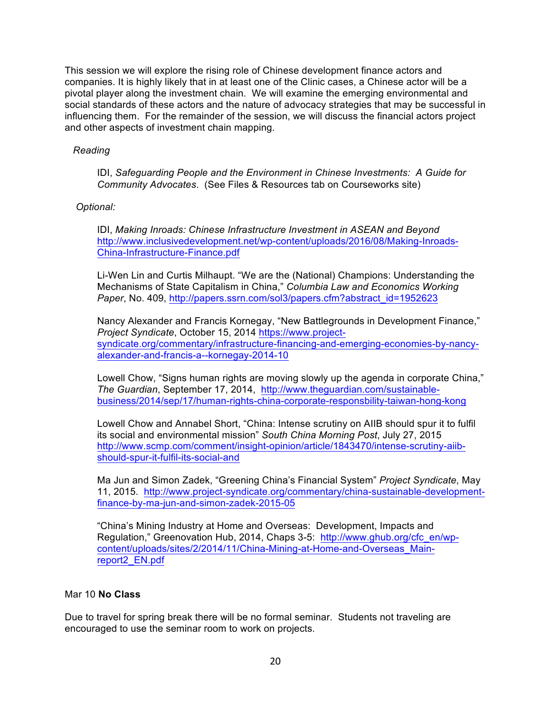This session we will explore the rising role of Chinese development finance actors and companies. It is highly likely that in at least one of the Clinic cases, a Chinese actor will be a pivotal player along the investment chain. We will examine the emerging environmental and social standards of these actors and the nature of advocacy strategies that may be successful in influencing them. For the remainder of the session, we will discuss the financial actors project and other aspects of investment chain mapping.

# *Reading*

IDI, *Safeguarding People and the Environment in Chinese Investments: A Guide for Community Advocates*. (See Files & Resources tab on Courseworks site)

# *Optional:*

IDI, *Making Inroads: Chinese Infrastructure Investment in ASEAN and Beyond* http://www.inclusivedevelopment.net/wp-content/uploads/2016/08/Making-Inroads-China-Infrastructure-Finance.pdf

Li-Wen Lin and Curtis Milhaupt. "We are the (National) Champions: Understanding the Mechanisms of State Capitalism in China," *Columbia Law and Economics Working Paper*, No. 409, http://papers.ssrn.com/sol3/papers.cfm?abstract\_id=1952623

Nancy Alexander and Francis Kornegay, "New Battlegrounds in Development Finance," *Project Syndicate*, October 15, 2014 https://www.projectsyndicate.org/commentary/infrastructure-financing-and-emerging-economies-by-nancyalexander-and-francis-a--kornegay-2014-10

Lowell Chow, "Signs human rights are moving slowly up the agenda in corporate China," *The Guardian*, September 17, 2014, http://www.theguardian.com/sustainablebusiness/2014/sep/17/human-rights-china-corporate-responsbility-taiwan-hong-kong

Lowell Chow and Annabel Short, "China: Intense scrutiny on AIIB should spur it to fulfil its social and environmental mission" *South China Morning Post*, July 27, 2015 http://www.scmp.com/comment/insight-opinion/article/1843470/intense-scrutiny-aiibshould-spur-it-fulfil-its-social-and

Ma Jun and Simon Zadek, "Greening China's Financial System" *Project Syndicate*, May 11, 2015. http://www.project-syndicate.org/commentary/china-sustainable-developmentfinance-by-ma-jun-and-simon-zadek-2015-05

"China's Mining Industry at Home and Overseas: Development, Impacts and Regulation," Greenovation Hub, 2014, Chaps 3-5: http://www.ghub.org/cfc\_en/wpcontent/uploads/sites/2/2014/11/China-Mining-at-Home-and-Overseas\_Mainreport2\_EN.pdf

# Mar 10 **No Class**

Due to travel for spring break there will be no formal seminar. Students not traveling are encouraged to use the seminar room to work on projects.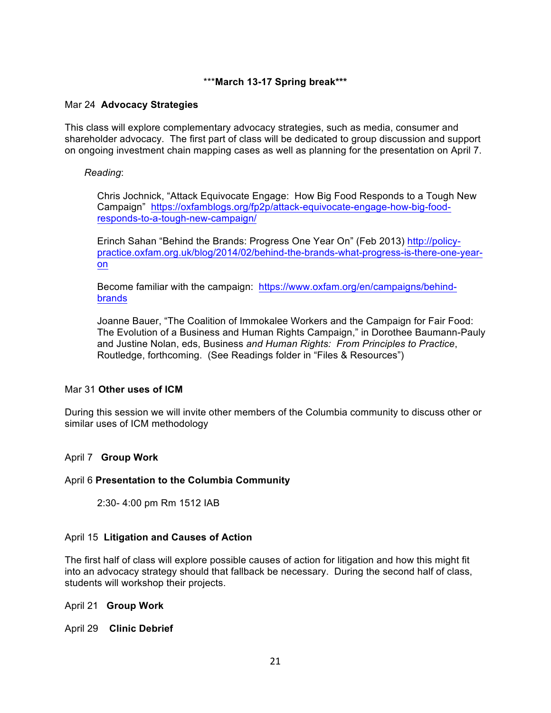# \*\*\***March 13-17 Spring break\*\*\***

### Mar 24 **Advocacy Strategies**

This class will explore complementary advocacy strategies, such as media, consumer and shareholder advocacy. The first part of class will be dedicated to group discussion and support on ongoing investment chain mapping cases as well as planning for the presentation on April 7.

### *Reading*:

Chris Jochnick, "Attack Equivocate Engage: How Big Food Responds to a Tough New Campaign" https://oxfamblogs.org/fp2p/attack-equivocate-engage-how-big-foodresponds-to-a-tough-new-campaign/

Erinch Sahan "Behind the Brands: Progress One Year On" (Feb 2013) http://policypractice.oxfam.org.uk/blog/2014/02/behind-the-brands-what-progress-is-there-one-yearon

Become familiar with the campaign: https://www.oxfam.org/en/campaigns/behindbrands

Joanne Bauer, "The Coalition of Immokalee Workers and the Campaign for Fair Food: The Evolution of a Business and Human Rights Campaign," in Dorothee Baumann-Pauly and Justine Nolan, eds, Business *and Human Rights: From Principles to Practice*, Routledge, forthcoming. (See Readings folder in "Files & Resources")

### Mar 31 **Other uses of ICM**

During this session we will invite other members of the Columbia community to discuss other or similar uses of ICM methodology

# April 7 **Group Work**

### April 6 **Presentation to the Columbia Community**

2:30- 4:00 pm Rm 1512 IAB

### April 15 **Litigation and Causes of Action**

The first half of class will explore possible causes of action for litigation and how this might fit into an advocacy strategy should that fallback be necessary. During the second half of class, students will workshop their projects.

April 21 **Group Work**

April 29 **Clinic Debrief**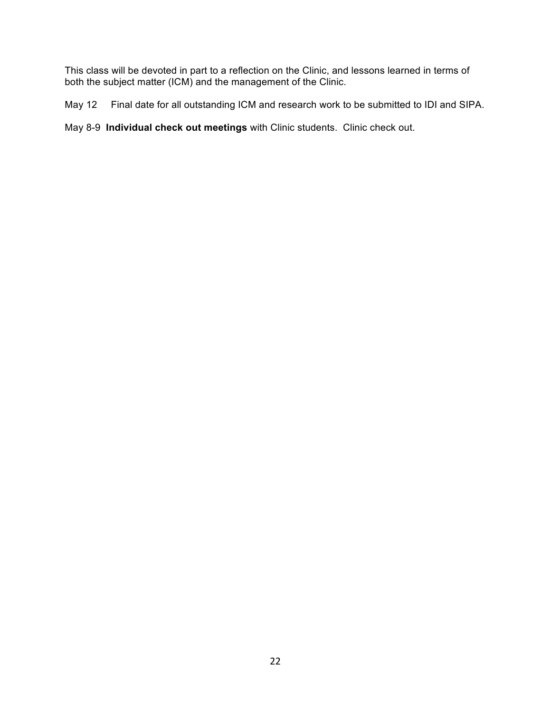This class will be devoted in part to a reflection on the Clinic, and lessons learned in terms of both the subject matter (ICM) and the management of the Clinic.

May 12 Final date for all outstanding ICM and research work to be submitted to IDI and SIPA.

May 8-9 **Individual check out meetings** with Clinic students. Clinic check out.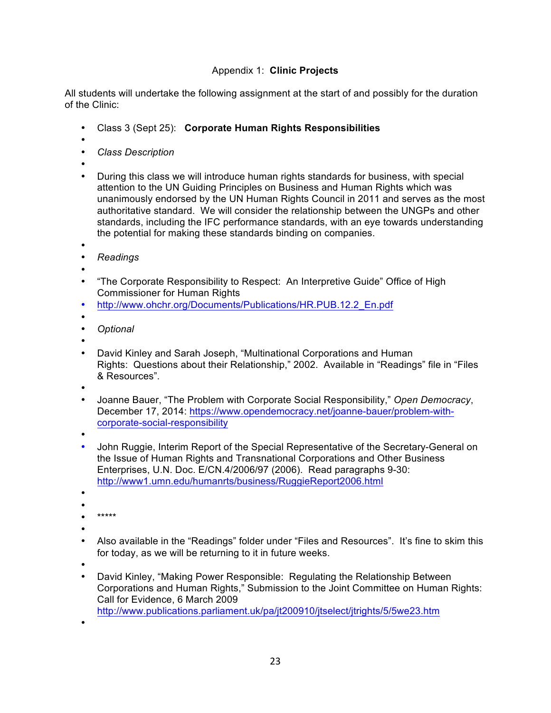# Appendix 1: **Clinic Projects**

All students will undertake the following assignment at the start of and possibly for the duration of the Clinic:

- Class 3 (Sept 25): **Corporate Human Rights Responsibilities**
- •
- *Class Description*
- •
- During this class we will introduce human rights standards for business, with special attention to the UN Guiding Principles on Business and Human Rights which was unanimously endorsed by the UN Human Rights Council in 2011 and serves as the most authoritative standard. We will consider the relationship between the UNGPs and other standards, including the IFC performance standards, with an eye towards understanding the potential for making these standards binding on companies.
- •
- *Readings*
- •
- "The Corporate Responsibility to Respect: An Interpretive Guide" Office of High Commissioner for Human Rights
- http://www.ohchr.org/Documents/Publications/HR.PUB.12.2\_En.pdf
- •
- *Optional*
- •
- David Kinley and Sarah Joseph, "Multinational Corporations and Human Rights: Questions about their Relationship," 2002. Available in "Readings" file in "Files & Resources".
- •
- Joanne Bauer, "The Problem with Corporate Social Responsibility," *Open Democracy*, December 17, 2014: https://www.opendemocracy.net/joanne-bauer/problem-withcorporate-social-responsibility
- •
- John Ruggie, Interim Report of the Special Representative of the Secretary-General on the Issue of Human Rights and Transnational Corporations and Other Business Enterprises, U.N. Doc. E/CN.4/2006/97 (2006). Read paragraphs 9-30: http://www1.umn.edu/humanrts/business/RuggieReport2006.html
- •
- • \*\*\*\*\*
- 
- •
- Also available in the "Readings" folder under "Files and Resources". It's fine to skim this for today, as we will be returning to it in future weeks.
- •
- David Kinley, "Making Power Responsible: Regulating the Relationship Between Corporations and Human Rights," Submission to the Joint Committee on Human Rights: Call for Evidence, 6 March 2009
- http://www.publications.parliament.uk/pa/jt200910/jtselect/jtrights/5/5we23.htm

•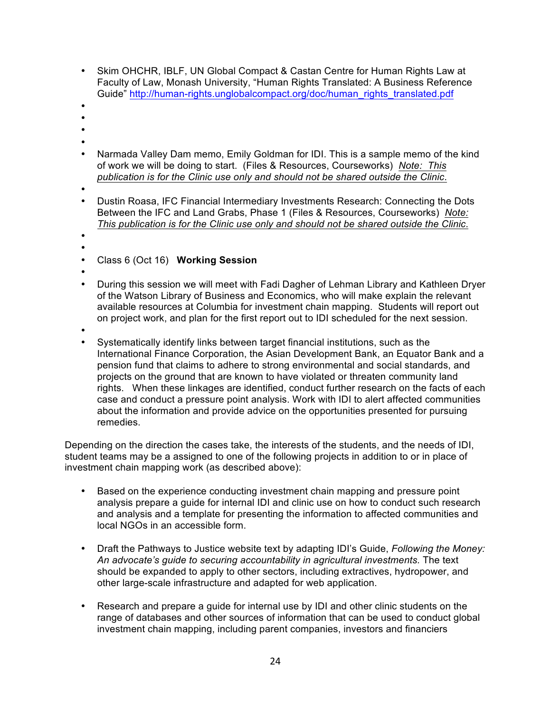- Skim OHCHR, IBLF, UN Global Compact & Castan Centre for Human Rights Law at Faculty of Law, Monash University, "Human Rights Translated: A Business Reference Guide" http://human-rights.unglobalcompact.org/doc/human\_rights\_translated.pdf
- •
- •
- •
- •
- Narmada Valley Dam memo, Emily Goldman for IDI. This is a sample memo of the kind of work we will be doing to start. (Files & Resources, Courseworks) *Note: This publication is for the Clinic use only and should not be shared outside the Clinic*.
- •
- Dustin Roasa, IFC Financial Intermediary Investments Research: Connecting the Dots Between the IFC and Land Grabs, Phase 1 (Files & Resources, Courseworks) *Note: This publication is for the Clinic use only and should not be shared outside the Clinic*.
- •
- •
- Class 6 (Oct 16) **Working Session**
- •
- During this session we will meet with Fadi Dagher of Lehman Library and Kathleen Dryer of the Watson Library of Business and Economics, who will make explain the relevant available resources at Columbia for investment chain mapping. Students will report out on project work, and plan for the first report out to IDI scheduled for the next session.
- •
- Systematically identify links between target financial institutions, such as the International Finance Corporation, the Asian Development Bank, an Equator Bank and a pension fund that claims to adhere to strong environmental and social standards, and projects on the ground that are known to have violated or threaten community land rights. When these linkages are identified, conduct further research on the facts of each case and conduct a pressure point analysis. Work with IDI to alert affected communities about the information and provide advice on the opportunities presented for pursuing remedies.

Depending on the direction the cases take, the interests of the students, and the needs of IDI, student teams may be a assigned to one of the following projects in addition to or in place of investment chain mapping work (as described above):

- Based on the experience conducting investment chain mapping and pressure point analysis prepare a guide for internal IDI and clinic use on how to conduct such research and analysis and a template for presenting the information to affected communities and local NGOs in an accessible form.
- Draft the Pathways to Justice website text by adapting IDI's Guide, *Following the Money: An advocate's guide to securing accountability in agricultural investments.* The text should be expanded to apply to other sectors, including extractives, hydropower, and other large-scale infrastructure and adapted for web application.
- Research and prepare a guide for internal use by IDI and other clinic students on the range of databases and other sources of information that can be used to conduct global investment chain mapping, including parent companies, investors and financiers